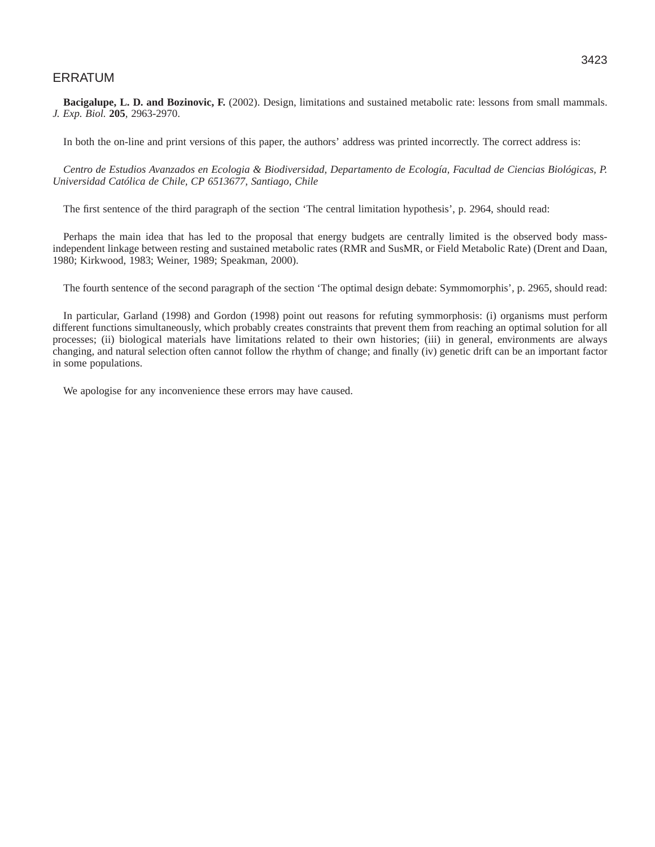# ERRATUM

**Bacigalupe, L. D. and Bozinovic, F.** (2002). Design, limitations and sustained metabolic rate: lessons from small mammals. *J. Exp. Biol.* **205***,* 2963-2970.

In both the on-line and print versions of this paper, the authors' address was printed incorrectly. The correct address is:

*Centro de Estudios Avanzados en Ecologia & Biodiversidad, Departamento de Ecología, Facultad de Ciencias Biológicas, P. Universidad Católica de Chile, CP 6513677, Santiago, Chile*

The first sentence of the third paragraph of the section 'The central limitation hypothesis', p. 2964, should read:

Perhaps the main idea that has led to the proposal that energy budgets are centrally limited is the observed body massindependent linkage between resting and sustained metabolic rates (RMR and SusMR, or Field Metabolic Rate) (Drent and Daan, 1980; Kirkwood, 1983; Weiner, 1989; Speakman, 2000).

The fourth sentence of the second paragraph of the section 'The optimal design debate: Symmomorphis', p. 2965, should read:

In particular, Garland (1998) and Gordon (1998) point out reasons for refuting symmorphosis: (i) organisms must perform different functions simultaneously, which probably creates constraints that prevent them from reaching an optimal solution for all processes; (ii) biological materials have limitations related to their own histories; (iii) in general, environments are always changing, and natural selection often cannot follow the rhythm of change; and finally (iv) genetic drift can be an important factor in some populations.

We apologise for any inconvenience these errors may have caused.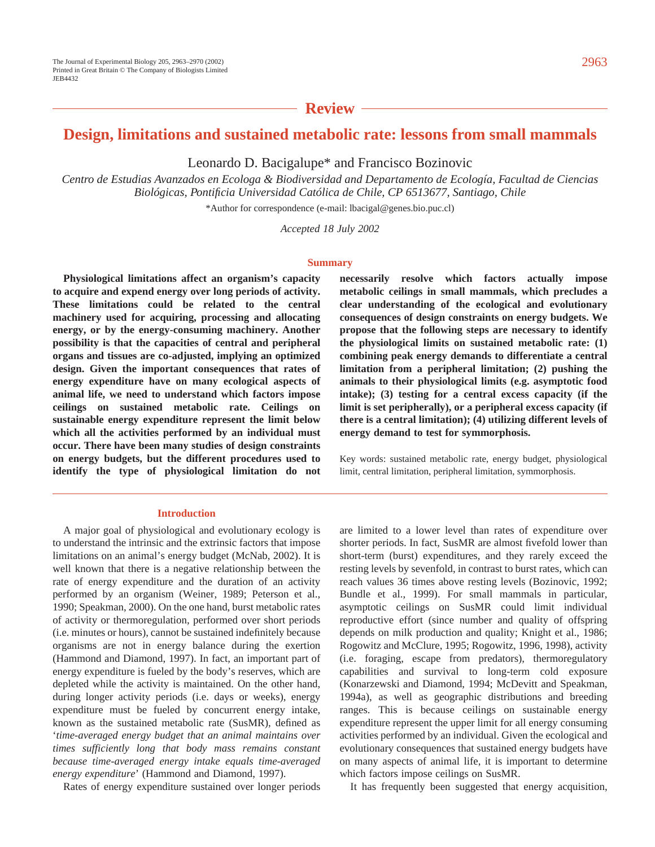**Review**

# **Design, limitations and sustained metabolic rate: lessons from small mammals**

Leonardo D. Bacigalupe\* and Francisco Bozinovic

*Centro de Estudias Avanzados en Ecologa & Biodiversidad and Departamento de Ecología, Facultad de Ciencias Biológicas, Pontificia Universidad Católica de Chile, CP 6513677, Santiago, Chile* 

\*Author for correspondence (e-mail: lbacigal@genes.bio.puc.cl)

*Accepted 18 July 2002* 

### **Summary**

**Physiological limitations affect an organism's capacity to acquire and expend energy over long periods of activity. These limitations could be related to the central machinery used for acquiring, processing and allocating energy, or by the energy-consuming machinery. Another possibility is that the capacities of central and peripheral organs and tissues are co-adjusted, implying an optimized design. Given the important consequences that rates of energy expenditure have on many ecological aspects of animal life, we need to understand which factors impose ceilings on sustained metabolic rate. Ceilings on sustainable energy expenditure represent the limit below which all the activities performed by an individual must occur. There have been many studies of design constraints on energy budgets, but the different procedures used to identify the type of physiological limitation do not**

#### **Introduction**

A major goal of physiological and evolutionary ecology is to understand the intrinsic and the extrinsic factors that impose limitations on an animal's energy budget (McNab, 2002). It is well known that there is a negative relationship between the rate of energy expenditure and the duration of an activity performed by an organism (Weiner, 1989; Peterson et al., 1990; Speakman, 2000). On the one hand, burst metabolic rates of activity or thermoregulation, performed over short periods (i.e. minutes or hours), cannot be sustained indefinitely because organisms are not in energy balance during the exertion (Hammond and Diamond, 1997). In fact, an important part of energy expenditure is fueled by the body's reserves, which are depleted while the activity is maintained. On the other hand, during longer activity periods (i.e. days or weeks), energy expenditure must be fueled by concurrent energy intake, known as the sustained metabolic rate (SusMR), defined as '*time-averaged energy budget that an animal maintains over times sufficiently long that body mass remains constant because time-averaged energy intake equals time-averaged energy expenditure*' (Hammond and Diamond, 1997).

Rates of energy expenditure sustained over longer periods

**necessarily resolve which factors actually impose metabolic ceilings in small mammals, which precludes a clear understanding of the ecological and evolutionary consequences of design constraints on energy budgets. We propose that the following steps are necessary to identify the physiological limits on sustained metabolic rate: (1) combining peak energy demands to differentiate a central limitation from a peripheral limitation; (2) pushing the animals to their physiological limits (e.g. asymptotic food intake); (3) testing for a central excess capacity (if the limit is set peripherally), or a peripheral excess capacity (if there is a central limitation); (4) utilizing different levels of energy demand to test for symmorphosis.** 

Key words: sustained metabolic rate, energy budget, physiological limit, central limitation, peripheral limitation, symmorphosis.

are limited to a lower level than rates of expenditure over shorter periods. In fact, SusMR are almost fivefold lower than short-term (burst) expenditures, and they rarely exceed the resting levels by sevenfold, in contrast to burst rates, which can reach values 36 times above resting levels (Bozinovic, 1992; Bundle et al., 1999). For small mammals in particular, asymptotic ceilings on SusMR could limit individual reproductive effort (since number and quality of offspring depends on milk production and quality; Knight et al., 1986; Rogowitz and McClure, 1995; Rogowitz, 1996, 1998), activity (i.e. foraging, escape from predators), thermoregulatory capabilities and survival to long-term cold exposure (Konarzewski and Diamond, 1994; McDevitt and Speakman, 1994a), as well as geographic distributions and breeding ranges. This is because ceilings on sustainable energy expenditure represent the upper limit for all energy consuming activities performed by an individual. Given the ecological and evolutionary consequences that sustained energy budgets have on many aspects of animal life, it is important to determine which factors impose ceilings on SusMR.

It has frequently been suggested that energy acquisition,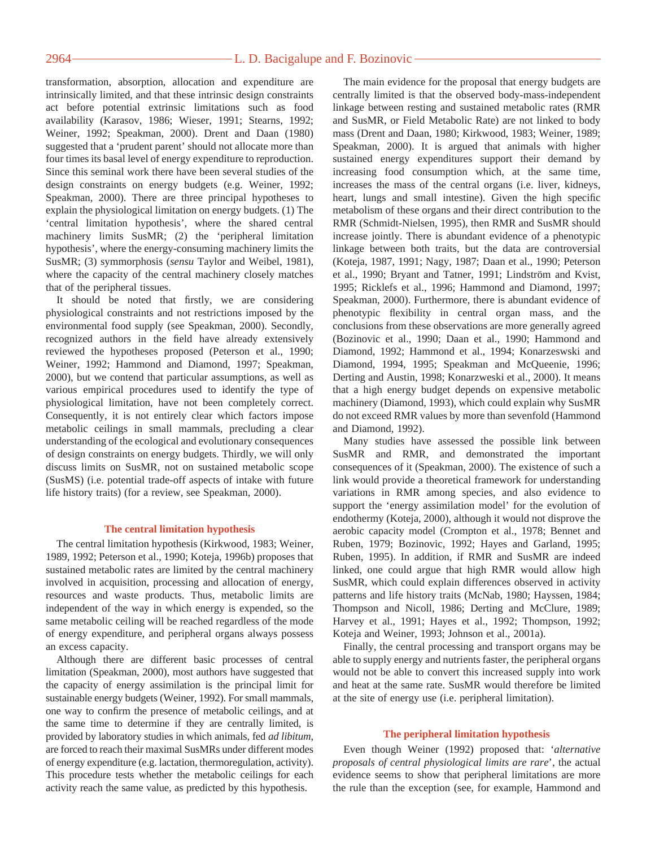# 2964 — **L. D. Bacigalupe and F. Bozinovic**

transformation, absorption, allocation and expenditure are intrinsically limited, and that these intrinsic design constraints act before potential extrinsic limitations such as food availability (Karasov, 1986; Wieser, 1991; Stearns, 1992; Weiner, 1992; Speakman, 2000). Drent and Daan (1980) suggested that a 'prudent parent' should not allocate more than four times its basal level of energy expenditure to reproduction. Since this seminal work there have been several studies of the design constraints on energy budgets (e.g. Weiner, 1992; Speakman, 2000). There are three principal hypotheses to explain the physiological limitation on energy budgets. (1) The 'central limitation hypothesis', where the shared central machinery limits SusMR; (2) the 'peripheral limitation hypothesis', where the energy-consuming machinery limits the SusMR; (3) symmorphosis (*sensu* Taylor and Weibel, 1981), where the capacity of the central machinery closely matches that of the peripheral tissues.

It should be noted that firstly, we are considering physiological constraints and not restrictions imposed by the environmental food supply (see Speakman, 2000). Secondly, recognized authors in the field have already extensively reviewed the hypotheses proposed (Peterson et al., 1990; Weiner, 1992; Hammond and Diamond, 1997; Speakman, 2000), but we contend that particular assumptions, as well as various empirical procedures used to identify the type of physiological limitation, have not been completely correct. Consequently, it is not entirely clear which factors impose metabolic ceilings in small mammals, precluding a clear understanding of the ecological and evolutionary consequences of design constraints on energy budgets. Thirdly, we will only discuss limits on SusMR, not on sustained metabolic scope (SusMS) (i.e. potential trade-off aspects of intake with future life history traits) (for a review, see Speakman, 2000).

#### **The central limitation hypothesis**

The central limitation hypothesis (Kirkwood, 1983; Weiner, 1989, 1992; Peterson et al., 1990; Koteja, 1996b) proposes that sustained metabolic rates are limited by the central machinery involved in acquisition, processing and allocation of energy, resources and waste products. Thus, metabolic limits are independent of the way in which energy is expended, so the same metabolic ceiling will be reached regardless of the mode of energy expenditure, and peripheral organs always possess an excess capacity.

Although there are different basic processes of central limitation (Speakman, 2000), most authors have suggested that the capacity of energy assimilation is the principal limit for sustainable energy budgets (Weiner, 1992). For small mammals, one way to confirm the presence of metabolic ceilings, and at the same time to determine if they are centrally limited, is provided by laboratory studies in which animals, fed *ad libitum*, are forced to reach their maximal SusMRs under different modes of energy expenditure (e.g. lactation, thermoregulation, activity). This procedure tests whether the metabolic ceilings for each activity reach the same value, as predicted by this hypothesis.

The main evidence for the proposal that energy budgets are centrally limited is that the observed body-mass-independent linkage between resting and sustained metabolic rates (RMR and SusMR, or Field Metabolic Rate) are not linked to body mass (Drent and Daan, 1980; Kirkwood, 1983; Weiner, 1989; Speakman, 2000). It is argued that animals with higher sustained energy expenditures support their demand by increasing food consumption which, at the same time, increases the mass of the central organs (i.e. liver, kidneys, heart, lungs and small intestine). Given the high specific metabolism of these organs and their direct contribution to the RMR (Schmidt-Nielsen, 1995), then RMR and SusMR should increase jointly. There is abundant evidence of a phenotypic linkage between both traits, but the data are controversial (Koteja, 1987, 1991; Nagy, 1987; Daan et al., 1990; Peterson et al., 1990; Bryant and Tatner, 1991; Lindström and Kvist, 1995; Ricklefs et al., 1996; Hammond and Diamond, 1997; Speakman, 2000). Furthermore, there is abundant evidence of phenotypic flexibility in central organ mass, and the conclusions from these observations are more generally agreed (Bozinovic et al., 1990; Daan et al., 1990; Hammond and Diamond, 1992; Hammond et al., 1994; Konarzeswski and Diamond, 1994, 1995; Speakman and McQueenie, 1996; Derting and Austin, 1998; Konarzweski et al., 2000). It means that a high energy budget depends on expensive metabolic machinery (Diamond, 1993), which could explain why SusMR do not exceed RMR values by more than sevenfold (Hammond and Diamond, 1992).

Many studies have assessed the possible link between SusMR and RMR, and demonstrated the important consequences of it (Speakman, 2000). The existence of such a link would provide a theoretical framework for understanding variations in RMR among species, and also evidence to support the 'energy assimilation model' for the evolution of endothermy (Koteja, 2000), although it would not disprove the aerobic capacity model (Crompton et al., 1978; Bennet and Ruben, 1979; Bozinovic, 1992; Hayes and Garland, 1995; Ruben, 1995). In addition, if RMR and SusMR are indeed linked, one could argue that high RMR would allow high SusMR, which could explain differences observed in activity patterns and life history traits (McNab, 1980; Hayssen, 1984; Thompson and Nicoll, 1986; Derting and McClure, 1989; Harvey et al., 1991; Hayes et al., 1992; Thompson, 1992; Koteja and Weiner, 1993; Johnson et al., 2001a).

Finally, the central processing and transport organs may be able to supply energy and nutrients faster, the peripheral organs would not be able to convert this increased supply into work and heat at the same rate. SusMR would therefore be limited at the site of energy use (i.e. peripheral limitation).

## **The peripheral limitation hypothesis**

Even though Weiner (1992) proposed that: '*alternative proposals of central physiological limits are rare*', the actual evidence seems to show that peripheral limitations are more the rule than the exception (see, for example, Hammond and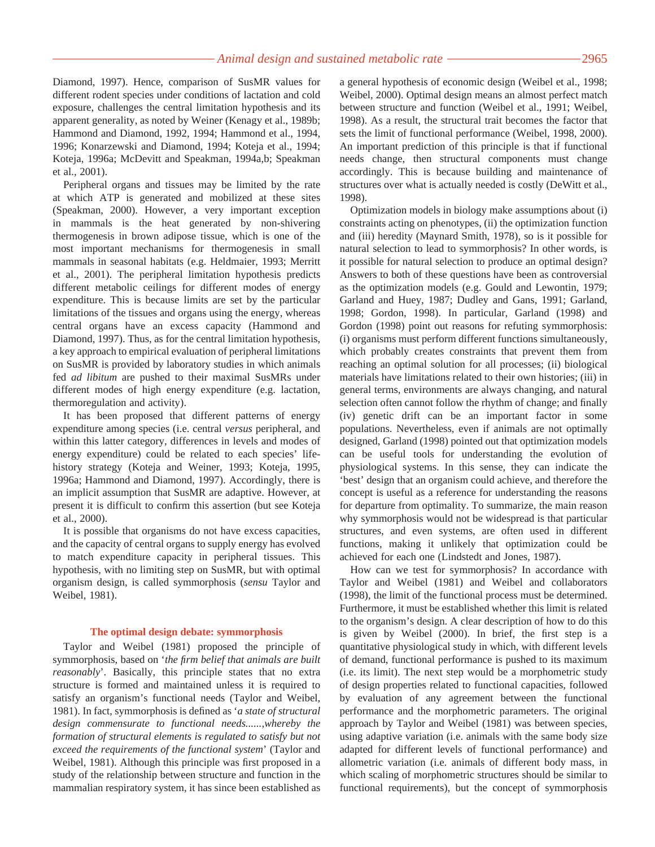Diamond, 1997). Hence, comparison of SusMR values for different rodent species under conditions of lactation and cold exposure, challenges the central limitation hypothesis and its apparent generality, as noted by Weiner (Kenagy et al., 1989b; Hammond and Diamond, 1992, 1994; Hammond et al., 1994, 1996; Konarzewski and Diamond, 1994; Koteja et al., 1994; Koteja, 1996a; McDevitt and Speakman, 1994a,b; Speakman et al., 2001).

Peripheral organs and tissues may be limited by the rate at which ATP is generated and mobilized at these sites (Speakman, 2000). However, a very important exception in mammals is the heat generated by non-shivering thermogenesis in brown adipose tissue, which is one of the most important mechanisms for thermogenesis in small mammals in seasonal habitats (e.g. Heldmaier, 1993; Merritt et al., 2001). The peripheral limitation hypothesis predicts different metabolic ceilings for different modes of energy expenditure. This is because limits are set by the particular limitations of the tissues and organs using the energy, whereas central organs have an excess capacity (Hammond and Diamond, 1997). Thus, as for the central limitation hypothesis, a key approach to empirical evaluation of peripheral limitations on SusMR is provided by laboratory studies in which animals fed *ad libitum* are pushed to their maximal SusMRs under different modes of high energy expenditure (e.g. lactation, thermoregulation and activity).

It has been proposed that different patterns of energy expenditure among species (i.e. central *versus* peripheral, and within this latter category, differences in levels and modes of energy expenditure) could be related to each species' lifehistory strategy (Koteja and Weiner, 1993; Koteja, 1995, 1996a; Hammond and Diamond, 1997). Accordingly, there is an implicit assumption that SusMR are adaptive. However, at present it is difficult to confirm this assertion (but see Koteja et al., 2000).

It is possible that organisms do not have excess capacities, and the capacity of central organs to supply energy has evolved to match expenditure capacity in peripheral tissues. This hypothesis, with no limiting step on SusMR, but with optimal organism design, is called symmorphosis (*sensu* Taylor and Weibel, 1981).

#### **The optimal design debate: symmorphosis**

Taylor and Weibel (1981) proposed the principle of symmorphosis, based on '*the firm belief that animals are built reasonably*'. Basically, this principle states that no extra structure is formed and maintained unless it is required to satisfy an organism's functional needs (Taylor and Weibel, 1981). In fact, symmorphosis is defined as '*a state of structural design commensurate to functional needs......,whereby the formation of structural elements is regulated to satisfy but not exceed the requirements of the functional system*' (Taylor and Weibel, 1981). Although this principle was first proposed in a study of the relationship between structure and function in the mammalian respiratory system, it has since been established as a general hypothesis of economic design (Weibel et al., 1998; Weibel, 2000). Optimal design means an almost perfect match between structure and function (Weibel et al., 1991; Weibel, 1998). As a result, the structural trait becomes the factor that sets the limit of functional performance (Weibel, 1998, 2000). An important prediction of this principle is that if functional needs change, then structural components must change accordingly. This is because building and maintenance of structures over what is actually needed is costly (DeWitt et al., 1998).

Optimization models in biology make assumptions about (i) constraints acting on phenotypes, (ii) the optimization function and (iii) heredity (Maynard Smith, 1978), so is it possible for natural selection to lead to symmorphosis? In other words, is it possible for natural selection to produce an optimal design? Answers to both of these questions have been as controversial as the optimization models (e.g. Gould and Lewontin, 1979; Garland and Huey, 1987; Dudley and Gans, 1991; Garland, 1998; Gordon, 1998). In particular, Garland (1998) and Gordon (1998) point out reasons for refuting symmorphosis: (i) organisms must perform different functions simultaneously, which probably creates constraints that prevent them from reaching an optimal solution for all processes; (ii) biological materials have limitations related to their own histories; (iii) in general terms, environments are always changing, and natural selection often cannot follow the rhythm of change; and finally (iv) genetic drift can be an important factor in some populations. Nevertheless, even if animals are not optimally designed, Garland (1998) pointed out that optimization models can be useful tools for understanding the evolution of physiological systems. In this sense, they can indicate the 'best' design that an organism could achieve, and therefore the concept is useful as a reference for understanding the reasons for departure from optimality. To summarize, the main reason why symmorphosis would not be widespread is that particular structures, and even systems, are often used in different functions, making it unlikely that optimization could be achieved for each one (Lindstedt and Jones, 1987).

How can we test for symmorphosis? In accordance with Taylor and Weibel (1981) and Weibel and collaborators (1998), the limit of the functional process must be determined. Furthermore, it must be established whether this limit is related to the organism's design. A clear description of how to do this is given by Weibel (2000). In brief, the first step is a quantitative physiological study in which, with different levels of demand, functional performance is pushed to its maximum (i.e. its limit). The next step would be a morphometric study of design properties related to functional capacities, followed by evaluation of any agreement between the functional performance and the morphometric parameters. The original approach by Taylor and Weibel (1981) was between species, using adaptive variation (i.e. animals with the same body size adapted for different levels of functional performance) and allometric variation (i.e. animals of different body mass, in which scaling of morphometric structures should be similar to functional requirements), but the concept of symmorphosis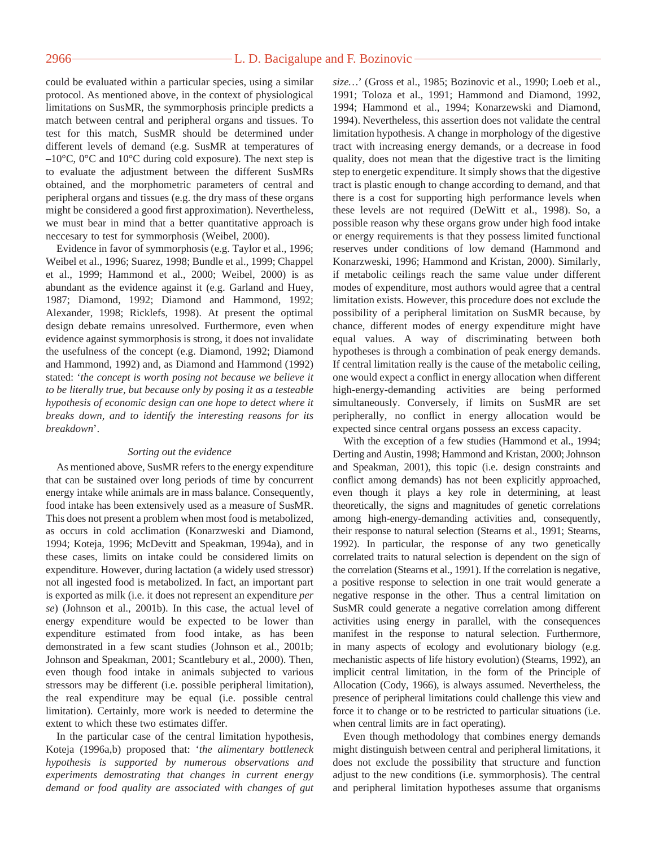# 2966 — <u>L. D. Bacigalupe and F. Bozinovic</u>

could be evaluated within a particular species, using a similar protocol. As mentioned above, in the context of physiological limitations on SusMR, the symmorphosis principle predicts a match between central and peripheral organs and tissues. To test for this match, SusMR should be determined under different levels of demand (e.g. SusMR at temperatures of –10°C, 0°C and 10°C during cold exposure). The next step is to evaluate the adjustment between the different SusMRs obtained, and the morphometric parameters of central and peripheral organs and tissues (e.g. the dry mass of these organs might be considered a good first approximation). Nevertheless, we must bear in mind that a better quantitative approach is neccesary to test for symmorphosis (Weibel, 2000).

Evidence in favor of symmorphosis (e.g. Taylor et al., 1996; Weibel et al., 1996; Suarez, 1998; Bundle et al., 1999; Chappel et al., 1999; Hammond et al., 2000; Weibel, 2000) is as abundant as the evidence against it (e.g. Garland and Huey, 1987; Diamond, 1992; Diamond and Hammond, 1992; Alexander, 1998; Ricklefs, 1998). At present the optimal design debate remains unresolved. Furthermore, even when evidence against symmorphosis is strong, it does not invalidate the usefulness of the concept (e.g. Diamond, 1992; Diamond and Hammond, 1992) and, as Diamond and Hammond (1992) stated: '*the concept is worth posing not because we believe it to be literally true, but because only by posing it as a testeable hypothesis of economic design can one hope to detect where it breaks down, and to identify the interesting reasons for its breakdown*'.

## *Sorting out the evidence*

As mentioned above, SusMR refers to the energy expenditure that can be sustained over long periods of time by concurrent energy intake while animals are in mass balance. Consequently, food intake has been extensively used as a measure of SusMR. This does not present a problem when most food is metabolized, as occurs in cold acclimation (Konarzweski and Diamond, 1994; Koteja, 1996; McDevitt and Speakman, 1994a), and in these cases, limits on intake could be considered limits on expenditure. However, during lactation (a widely used stressor) not all ingested food is metabolized. In fact, an important part is exported as milk (i.e. it does not represent an expenditure *per se*) (Johnson et al., 2001b). In this case, the actual level of energy expenditure would be expected to be lower than expenditure estimated from food intake, as has been demonstrated in a few scant studies (Johnson et al., 2001b; Johnson and Speakman, 2001; Scantlebury et al., 2000). Then, even though food intake in animals subjected to various stressors may be different (i.e. possible peripheral limitation), the real expenditure may be equal (i.e. possible central limitation). Certainly, more work is needed to determine the extent to which these two estimates differ.

In the particular case of the central limitation hypothesis, Koteja (1996a,b) proposed that: '*the alimentary bottleneck hypothesis is supported by numerous observations and experiments demostrating that changes in current energy demand or food quality are associated with changes of gut* *size…*' (Gross et al., 1985; Bozinovic et al., 1990; Loeb et al., 1991; Toloza et al., 1991; Hammond and Diamond, 1992, 1994; Hammond et al., 1994; Konarzewski and Diamond, 1994). Nevertheless, this assertion does not validate the central limitation hypothesis. A change in morphology of the digestive tract with increasing energy demands, or a decrease in food quality, does not mean that the digestive tract is the limiting step to energetic expenditure. It simply shows that the digestive tract is plastic enough to change according to demand, and that there is a cost for supporting high performance levels when these levels are not required (DeWitt et al., 1998). So, a possible reason why these organs grow under high food intake or energy requirements is that they possess limited functional reserves under conditions of low demand (Hammond and Konarzweski, 1996; Hammond and Kristan, 2000). Similarly, if metabolic ceilings reach the same value under different modes of expenditure, most authors would agree that a central limitation exists. However, this procedure does not exclude the possibility of a peripheral limitation on SusMR because, by chance, different modes of energy expenditure might have equal values. A way of discriminating between both hypotheses is through a combination of peak energy demands. If central limitation really is the cause of the metabolic ceiling, one would expect a conflict in energy allocation when different high-energy-demanding activities are being performed simultaneously. Conversely, if limits on SusMR are set peripherally, no conflict in energy allocation would be expected since central organs possess an excess capacity.

With the exception of a few studies (Hammond et al., 1994; Derting and Austin, 1998; Hammond and Kristan, 2000; Johnson and Speakman, 2001), this topic (i.e. design constraints and conflict among demands) has not been explicitly approached, even though it plays a key role in determining, at least theoretically, the signs and magnitudes of genetic correlations among high-energy-demanding activities and, consequently, their response to natural selection (Stearns et al., 1991; Stearns, 1992). In particular, the response of any two genetically correlated traits to natural selection is dependent on the sign of the correlation (Stearns et al., 1991). If the correlation is negative, a positive response to selection in one trait would generate a negative response in the other. Thus a central limitation on SusMR could generate a negative correlation among different activities using energy in parallel, with the consequences manifest in the response to natural selection. Furthermore, in many aspects of ecology and evolutionary biology (e.g. mechanistic aspects of life history evolution) (Stearns, 1992), an implicit central limitation, in the form of the Principle of Allocation (Cody, 1966), is always assumed. Nevertheless, the presence of peripheral limitations could challenge this view and force it to change or to be restricted to particular situations (i.e. when central limits are in fact operating).

Even though methodology that combines energy demands might distinguish between central and peripheral limitations, it does not exclude the possibility that structure and function adjust to the new conditions (i.e. symmorphosis). The central and peripheral limitation hypotheses assume that organisms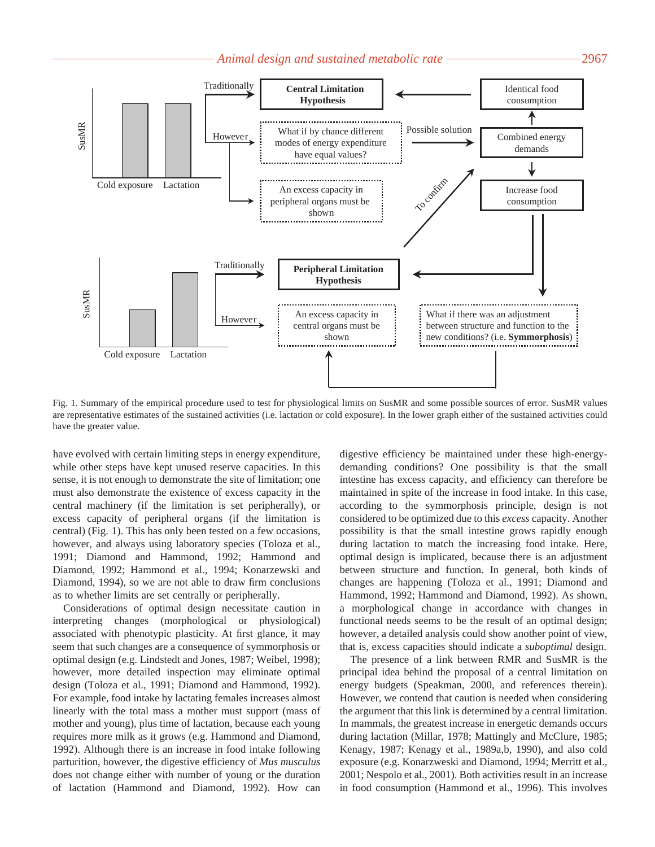## Animal design and sustained metabolic rate <u>2967</u><br>2967



Fig. 1. Summary of the empirical procedure used to test for physiological limits on SusMR and some possible sources of error. SusMR values are representative estimates of the sustained activities (i.e. lactation or cold exposure). In the lower graph either of the sustained activities could have the greater value.

have evolved with certain limiting steps in energy expenditure, while other steps have kept unused reserve capacities. In this sense, it is not enough to demonstrate the site of limitation; one must also demonstrate the existence of excess capacity in the central machinery (if the limitation is set peripherally), or excess capacity of peripheral organs (if the limitation is central) (Fig. 1). This has only been tested on a few occasions, however, and always using laboratory species (Toloza et al., 1991; Diamond and Hammond, 1992; Hammond and Diamond, 1992; Hammond et al., 1994; Konarzewski and Diamond, 1994), so we are not able to draw firm conclusions as to whether limits are set centrally or peripherally.

Considerations of optimal design necessitate caution in interpreting changes (morphological or physiological) associated with phenotypic plasticity. At first glance, it may seem that such changes are a consequence of symmorphosis or optimal design (e.g. Lindstedt and Jones, 1987; Weibel, 1998); however, more detailed inspection may eliminate optimal design (Toloza et al., 1991; Diamond and Hammond, 1992). For example, food intake by lactating females increases almost linearly with the total mass a mother must support (mass of mother and young), plus time of lactation, because each young requires more milk as it grows (e.g. Hammond and Diamond, 1992). Although there is an increase in food intake following parturition, however, the digestive efficiency of *Mus musculus* does not change either with number of young or the duration of lactation (Hammond and Diamond, 1992). How can digestive efficiency be maintained under these high-energydemanding conditions? One possibility is that the small intestine has excess capacity, and efficiency can therefore be maintained in spite of the increase in food intake. In this case, according to the symmorphosis principle, design is not considered to be optimized due to this *excess* capacity. Another possibility is that the small intestine grows rapidly enough during lactation to match the increasing food intake. Here, optimal design is implicated, because there is an adjustment between structure and function. In general, both kinds of changes are happening (Toloza et al., 1991; Diamond and Hammond, 1992; Hammond and Diamond, 1992). As shown, a morphological change in accordance with changes in functional needs seems to be the result of an optimal design; however, a detailed analysis could show another point of view, that is, excess capacities should indicate a *suboptimal* design.

The presence of a link between RMR and SusMR is the principal idea behind the proposal of a central limitation on energy budgets (Speakman, 2000, and references therein). However, we contend that caution is needed when considering the argument that this link is determined by a central limitation. In mammals, the greatest increase in energetic demands occurs during lactation (Millar, 1978; Mattingly and McClure, 1985; Kenagy, 1987; Kenagy et al., 1989a,b, 1990), and also cold exposure (e.g. Konarzweski and Diamond, 1994; Merritt et al., 2001; Nespolo et al., 2001). Both activities result in an increase in food consumption (Hammond et al., 1996). This involves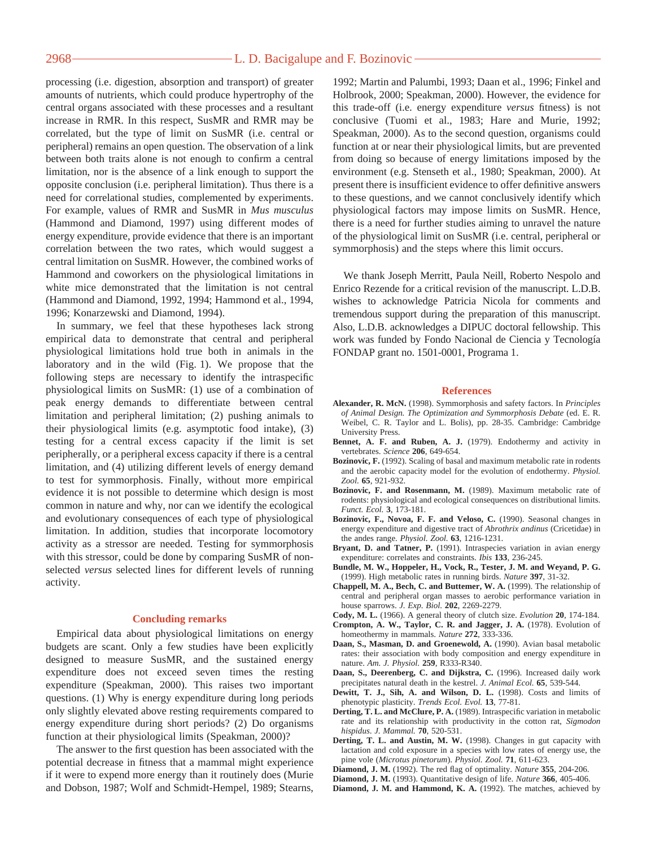## 2968 — <del>L. D. Bacigalupe and F. Bozinovic</del>

processing (i.e. digestion, absorption and transport) of greater amounts of nutrients, which could produce hypertrophy of the central organs associated with these processes and a resultant increase in RMR. In this respect, SusMR and RMR may be correlated, but the type of limit on SusMR (i.e. central or peripheral) remains an open question. The observation of a link between both traits alone is not enough to confirm a central limitation, nor is the absence of a link enough to support the opposite conclusion (i.e. peripheral limitation). Thus there is a need for correlational studies, complemented by experiments. For example, values of RMR and SusMR in *Mus musculus* (Hammond and Diamond, 1997) using different modes of energy expenditure, provide evidence that there is an important correlation between the two rates, which would suggest a central limitation on SusMR. However, the combined works of Hammond and coworkers on the physiological limitations in white mice demonstrated that the limitation is not central (Hammond and Diamond, 1992, 1994; Hammond et al., 1994, 1996; Konarzewski and Diamond, 1994).

In summary, we feel that these hypotheses lack strong empirical data to demonstrate that central and peripheral physiological limitations hold true both in animals in the laboratory and in the wild (Fig. 1). We propose that the following steps are necessary to identify the intraspecific physiological limits on SusMR: (1) use of a combination of peak energy demands to differentiate between central limitation and peripheral limitation; (2) pushing animals to their physiological limits (e.g. asymptotic food intake), (3) testing for a central excess capacity if the limit is set peripherally, or a peripheral excess capacity if there is a central limitation, and (4) utilizing different levels of energy demand to test for symmorphosis. Finally, without more empirical evidence it is not possible to determine which design is most common in nature and why, nor can we identify the ecological and evolutionary consequences of each type of physiological limitation. In addition, studies that incorporate locomotory activity as a stressor are needed. Testing for symmorphosis with this stressor, could be done by comparing SusMR of nonselected *versus* selected lines for different levels of running activity.

#### **Concluding remarks**

Empirical data about physiological limitations on energy budgets are scant. Only a few studies have been explicitly designed to measure SusMR, and the sustained energy expenditure does not exceed seven times the resting expenditure (Speakman, 2000). This raises two important questions. (1) Why is energy expenditure during long periods only slightly elevated above resting requirements compared to energy expenditure during short periods? (2) Do organisms function at their physiological limits (Speakman, 2000)?

The answer to the first question has been associated with the potential decrease in fitness that a mammal might experience if it were to expend more energy than it routinely does (Murie and Dobson, 1987; Wolf and Schmidt-Hempel, 1989; Stearns,

1992; Martin and Palumbi, 1993; Daan et al., 1996; Finkel and Holbrook, 2000; Speakman, 2000). However, the evidence for this trade-off (i.e. energy expenditure *versus* fitness) is not conclusive (Tuomi et al., 1983; Hare and Murie, 1992; Speakman, 2000). As to the second question, organisms could function at or near their physiological limits, but are prevented from doing so because of energy limitations imposed by the environment (e.g. Stenseth et al., 1980; Speakman, 2000). At present there is insufficient evidence to offer definitive answers to these questions, and we cannot conclusively identify which physiological factors may impose limits on SusMR. Hence, there is a need for further studies aiming to unravel the nature of the physiological limit on SusMR (i.e. central, peripheral or symmorphosis) and the steps where this limit occurs.

We thank Joseph Merritt, Paula Neill, Roberto Nespolo and Enrico Rezende for a critical revision of the manuscript. L.D.B. wishes to acknowledge Patricia Nicola for comments and tremendous support during the preparation of this manuscript. Also, L.D.B. acknowledges a DIPUC doctoral fellowship. This work was funded by Fondo Nacional de Ciencia y Tecnología FONDAP grant no. 1501-0001, Programa 1.

#### **References**

- **Alexander, R. McN.** (1998). Symmorphosis and safety factors. In *Principles of Animal Design. The Optimization and Symmorphosis Debate* (ed. E. R. Weibel, C. R. Taylor and L. Bolis), pp. 28-35. Cambridge: Cambridge University Press.
- **Bennet, A. F. and Ruben, A. J.** (1979). Endothermy and activity in vertebrates. *Science* **206**, 649-654.
- **Bozinovic, F.** (1992). Scaling of basal and maximum metabolic rate in rodents and the aerobic capacity model for the evolution of endothermy. *Physiol. Zool.* **65**, 921-932.
- **Bozinovic, F. and Rosenmann, M.** (1989). Maximum metabolic rate of rodents: physiological and ecological consequences on distributional limits. *Funct. Ecol.* **3**, 173-181.
- **Bozinovic, F., Novoa, F. F. and Veloso, C.** (1990). Seasonal changes in energy expenditure and digestive tract of *Abrothrix andinus* (Cricetidae) in the andes range. *Physiol. Zool.* **63**, 1216-1231.
- Bryant, D. and Tatner, P. (1991). Intraspecies variation in avian energy expenditure: correlates and constraints. *Ibis* **133**, 236-245.
- **Bundle, M. W., Hoppeler, H., Vock, R., Tester, J. M. and Weyand, P. G.** (1999). High metabolic rates in running birds. *Nature* **397**, 31-32.
- **Chappell, M. A., Bech, C. and Buttemer, W. A.** (1999). The relationship of central and peripheral organ masses to aerobic performance variation in house sparrows. *J. Exp. Biol.* **202**, 2269-2279.
- **Cody, M. L.** (1966). A general theory of clutch size. *Evolution* **20**, 174-184. **Crompton, A. W., Taylor, C. R. and Jagger, J. A.** (1978). Evolution of
- homeothermy in mammals. *Nature* **272**, 333-336. **Daan, S., Masman, D. and Groenewold, A.** (1990). Avian basal metabolic
- rates: their association with body composition and energy expenditure in nature. *Am. J. Physiol.* **259**, R333-R340.
- **Daan, S., Deerenberg, C. and Dijkstra, C.** (1996). Increased daily work precipitates natural death in the kestrel. *J. Animal Ecol.* **65**, 539-544.
- **Dewitt, T. J., Sih, A. and Wilson, D. L.** (1998). Costs and limits of phenotypic plasticity. *Trends Ecol. Evol.* **13**, 77-81.
- **Derting, T. L. and McClure, P. A.** (1989). Intraspecific variation in metabolic rate and its relationship with productivity in the cotton rat, *Sigmodon hispidus*. *J. Mammal.* **70**, 520-531.
- **Derting, T. L. and Austin, M. W.** (1998). Changes in gut capacity with lactation and cold exposure in a species with low rates of energy use, the pine vole (*Microtus pinetorum*). *Physiol. Zool.* **71**, 611-623.
- **Diamond, J. M.** (1992). The red flag of optimality. *Nature* **355**, 204-206.
- **Diamond, J. M.** (1993). Quantitative design of life. *Nature* **366**, 405-406.
- **Diamond, J. M. and Hammond, K. A.** (1992). The matches, achieved by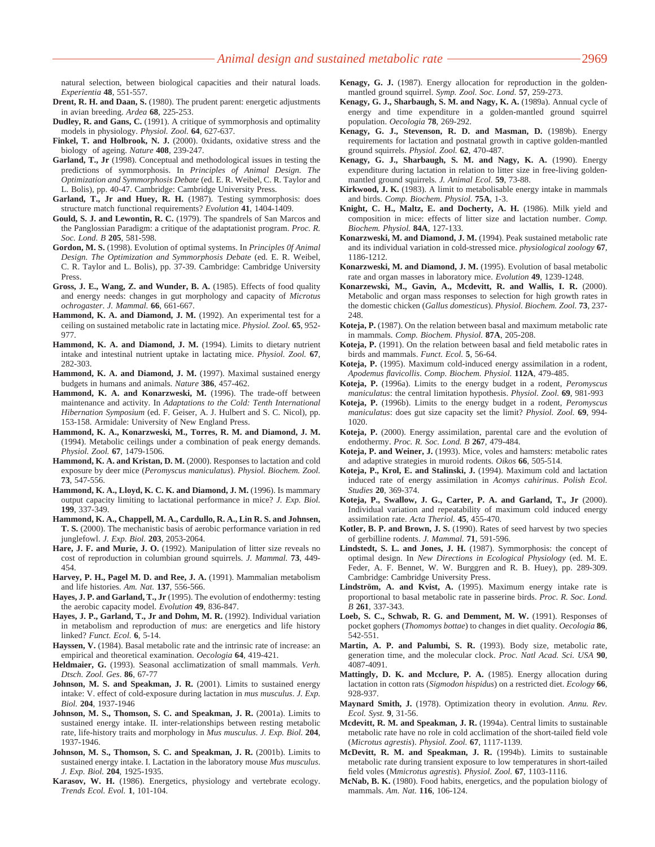natural selection, between biological capacities and their natural loads. *Experientia* **48**, 551-557.

- **Drent, R. H. and Daan, S.** (1980). The prudent parent: energetic adjustments in avian breeding. *Ardea* **68**, 225-253.
- **Dudley, R. and Gans, C.** (1991). A critique of symmorphosis and optimality models in physiology. *Physiol. Zool.* **64**, 627-637.
- Finkel, T. and Holbrook, N. J. (2000). 0xidants, oxidative stress and the biology of ageing. *Nature* **408**, 239-247.
- **Garland, T., Jr** (1998). Conceptual and methodological issues in testing the predictions of symmorphosis. In *Principles of Animal Design. The Optimization and Symmorphosis Debate* (ed. E. R. Weibel, C. R. Taylor and L. Bolis), pp. 40-47. Cambridge: Cambridge University Press.
- **Garland, T., Jr and Huey, R. H.** (1987). Testing symmorphosis: does structure match functional requirements? *Evolution* **41**, 1404-1409.
- **Gould, S. J. and Lewontin, R. C.** (1979). The spandrels of San Marcos and the Panglossian Paradigm: a critique of the adaptationist program. *Proc. R. Soc. Lond. B* **205**, 581-598.
- **Gordon, M. S.** (1998). Evolution of optimal systems. In *Principles 0f Animal Design. The Optimization and Symmorphosis Debate* (ed. E. R. Weibel, C. R. Taylor and L. Bolis), pp. 37-39. Cambridge: Cambridge University Press.
- **Gross, J. E., Wang, Z. and Wunder, B. A.** (1985). Effects of food quality and energy needs: changes in gut morphology and capacity of *Microtus ochrogaster*. *J. Mammal.* **66**, 661-667.
- Hammond, K. A. and Diamond, J. M. (1992). An experimental test for a ceiling on sustained metabolic rate in lactating mice. *Physiol. Zool.* **65**, 952- 977.
- **Hammond, K. A. and Diamond, J. M.** (1994). Limits to dietary nutrient intake and intestinal nutrient uptake in lactating mice. *Physiol. Zool.* **67**, 282-303.
- Hammond, K. A. and Diamond, J. M. (1997). Maximal sustained energy budgets in humans and animals. *Nature* **386**, 457-462.
- **Hammond, K. A. and Konarzweski, M.** (1996). The trade-off between maintenance and activity. In *Adaptations to the Cold: Tenth International Hibernation Symposium* (ed. F. Geiser, A. J. Hulbert and S. C. Nicol), pp. 153-158. Armidale: University of New England Press.
- **Hammond, K. A., Konarzweski, M., Torres, R. M. and Diamond, J. M.** (1994). Metabolic ceilings under a combination of peak energy demands. *Physiol. Zool.* **67**, 1479-1506.
- **Hammond, K. A. and Kristan, D. M.** (2000). Responses to lactation and cold exposure by deer mice (*Peromyscus maniculatus*). *Physiol. Biochem. Zool.* **73**, 547-556.
- **Hammond, K. A., Lloyd, K. C. K. and Diamond, J. M.** (1996). Is mammary output capacity limiting to lactational performance in mice? *J. Exp. Biol.* **199**, 337-349.
- **Hammond, K. A., Chappell, M. A., Cardullo, R. A., Lin R. S. and Johnsen, T. S.** (2000). The mechanistic basis of aerobic performance variation in red junglefowl. *J. Exp. Biol.* **203**, 2053-2064.
- **Hare, J. F. and Murie, J. O.** (1992). Manipulation of litter size reveals no cost of reproduction in columbian ground squirrels. *J. Mammal.* **73**, 449- 454.
- **Harvey, P. H., Pagel M. D. and Ree, J. A.** (1991). Mammalian metabolism and life histories. *Am. Nat.* **137**, 556-566.
- **Hayes, J. P. and Garland, T., Jr** (1995). The evolution of endothermy: testing the aerobic capacity model. *Evolution* **49**, 836-847.
- Hayes, J. P., Garland, T., Jr and Dohm, M. R. (1992). Individual variation in metabolism and reproduction of *mus*: are energetics and life history linked? *Funct. Ecol.* **6**, 5-14.
- **Hayssen, V.** (1984). Basal metabolic rate and the intrinsic rate of increase: an empirical and theoretical examination. *Oecologia* **64**, 419-421.
- **Heldmaier, G.** (1993). Seasonal acclimatization of small mammals. *Verh. Dtsch. Zool. Ges*. **86**, 67-77
- **Johnson, M. S. and Speakman, J. R.** (2001). Limits to sustained energy intake: V. effect of cold-exposure during lactation in *mus musculus*. *J. Exp. Biol.* **204**, 1937-1946
- **Johnson, M. S., Thomson, S. C. and Speakman, J. R.** (2001a). Limits to sustained energy intake. II. inter-relationships between resting metabolic rate, life-history traits and morphology in *Mus musculus*. *J. Exp. Biol.* **204**, 1937-1946.
- **Johnson, M. S., Thomson, S. C. and Speakman, J. R.** (2001b). Limits to sustained energy intake. I. Lactation in the laboratory mouse *Mus musculus*. *J. Exp. Biol.* **204**, 1925-1935.
- **Karasov, W. H.** (1986). Energetics, physiology and vertebrate ecology. *Trends Ecol. Evol.* **1**, 101-104.
- **Kenagy, G. J.** (1987). Energy allocation for reproduction in the goldenmantled ground squirrel. *Symp. Zool. Soc. Lond.* **57**, 259-273.
- **Kenagy, G. J., Sharbaugh, S. M. and Nagy, K. A.** (1989a). Annual cycle of energy and time expenditure in a golden-mantled ground squirrel population. *Oecologia* **78**, 269-292.
- **Kenagy, G. J., Stevenson, R. D. and Masman, D.** (1989b). Energy requirements for lactation and postnatal growth in captive golden-mantled ground squirrels. *Physiol. Zool.* **62**, 470-487.
- **Kenagy, G. J., Sharbaugh, S. M. and Nagy, K. A.** (1990). Energy expenditure during lactation in relation to litter size in free-living goldenmantled ground squirrels. *J. Animal Ecol.* **59**, 73-88.
- **Kirkwood, J. K.** (1983). A limit to metabolisable energy intake in mammals and birds. *Comp. Biochem. Physiol.* **75A**, 1-3.
- Knight, C. H., Maltz, E. and Docherty, A. H. (1986). Milk yield and composition in mice: effects of litter size and lactation number. *Comp. Biochem. Physiol.* **84A**, 127-133.
- **Konarzweski, M. and Diamond, J. M.** (1994). Peak sustained metabolic rate and its individual variation in cold-stressed mice. *physiological zoology* **67**, 1186-1212.
- **Konarzweski, M. and Diamond, J. M.** (1995). Evolution of basal metabolic rate and organ masses in laboratory mice. *Evolution* **49**, 1239-1248.
- **Konarzewski, M., Gavin, A., Mcdevitt, R. and Wallis, I. R.** (2000). Metabolic and organ mass responses to selection for high growth rates in the domestic chicken (*Gallus domesticus*). *Physiol. Biochem. Zool.* **73**, 237- 248.
- **Koteja, P.** (1987). On the relation between basal and maximum metabolic rate in mammals. *Comp. Biochem. Physiol.* **87A**, 205-208.
- **Koteja, P.** (1991). On the relation between basal and field metabolic rates in birds and mammals. *Funct. Ecol.* **5**, 56-64.
- **Koteja, P.** (1995). Maximum cold-induced energy assimilation in a rodent, *Apodemus flavicollis*. *Comp. Biochem. Physiol.* **112A**, 479-485.
- **Koteja, P.** (1996a). Limits to the energy budget in a rodent, *Peromyscus maniculatus*: the central limitation hypothesis. *Physiol. Zool.* **69**, 981-993
- **Koteja, P.** (1996b). Limits to the energy budget in a rodent, *Peromyscus maniculatus*: does gut size capacity set the limit? *Physiol. Zool.* **69**, 994- 1020.
- **Koteja, P.** (2000). Energy assimilation, parental care and the evolution of endothermy. *Proc. R. Soc. Lond. B* **267**, 479-484.
- **Koteja, P. and Weiner, J.** (1993). Mice, voles and hamsters: metabolic rates and adaptive strategies in muroid rodents. *Oikos* **66**, 505-514.
- **Koteja, P., Krol, E. and Stalinski, J.** (1994). Maximum cold and lactation induced rate of energy assimilation in *Acomys cahirinus*. *Polish Ecol. Studies* **20**, 369-374.
- **Koteja, P., Swallow, J. G., Carter, P. A. and Garland, T., Jr** (2000). Individual variation and repeatability of maximum cold induced energy assimilation rate. *Acta Theriol.* **45**, 455-470.
- **Kotler, B. P. and Brown, J. S.** (1990). Rates of seed harvest by two species of gerbilline rodents. *J. Mammal.* **71**, 591-596.
- **Lindstedt, S. L. and Jones, J. H.** (1987). Symmorphosis: the concept of optimal design. In *New Directions in Ecological Physiology* (ed. M. E. Feder, A. F. Bennet, W. W. Burggren and R. B. Huey), pp. 289-309. Cambridge: Cambridge University Press.
- **Lindström, A. and Kvist, A.** (1995). Maximum energy intake rate is proportional to basal metabolic rate in passerine birds. *Proc. R. Soc. Lond. B* **261**, 337-343.
- **Loeb, S. C., Schwab, R. G. and Demment, M. W.** (1991). Responses of pocket gophers (*Thomomys bottae*) to changes in diet quality. *Oecologia* **86**, 542-551.
- **Martin, A. P. and Palumbi, S. R.** (1993). Body size, metabolic rate, generation time, and the molecular clock. *Proc. Natl Acad. Sci. USA* **90**, 4087-4091.
- **Mattingly, D. K. and Mcclure, P. A.** (1985). Energy allocation during lactation in cotton rats (*Sigmodon hispidus*) on a restricted diet. *Ecology* **66**, 928-937.
- **Maynard Smith, J.** (1978). Optimization theory in evolution. *Annu. Rev. Ecol. Syst.* **9**, 31-56.
- **Mcdevitt, R. M. and Speakman, J. R.** (1994a). Central limits to sustainable metabolic rate have no role in cold acclimation of the short-tailed field vole (*Microtus agrestis*). *Physiol. Zool.* **67**, 1117-1139.
- **McDevitt, R. M. and Speakman, J. R.** (1994b). Limits to sustainable metabolic rate during transient exposure to low temperatures in short-tailed field voles (M*microtus agrestis*). *Physiol. Zool.* **67**, 1103-1116.
- **McNab, B. K.** (1980). Food habits, energetics, and the population biology of mammals. *Am. Nat.* **116**, 106-124.